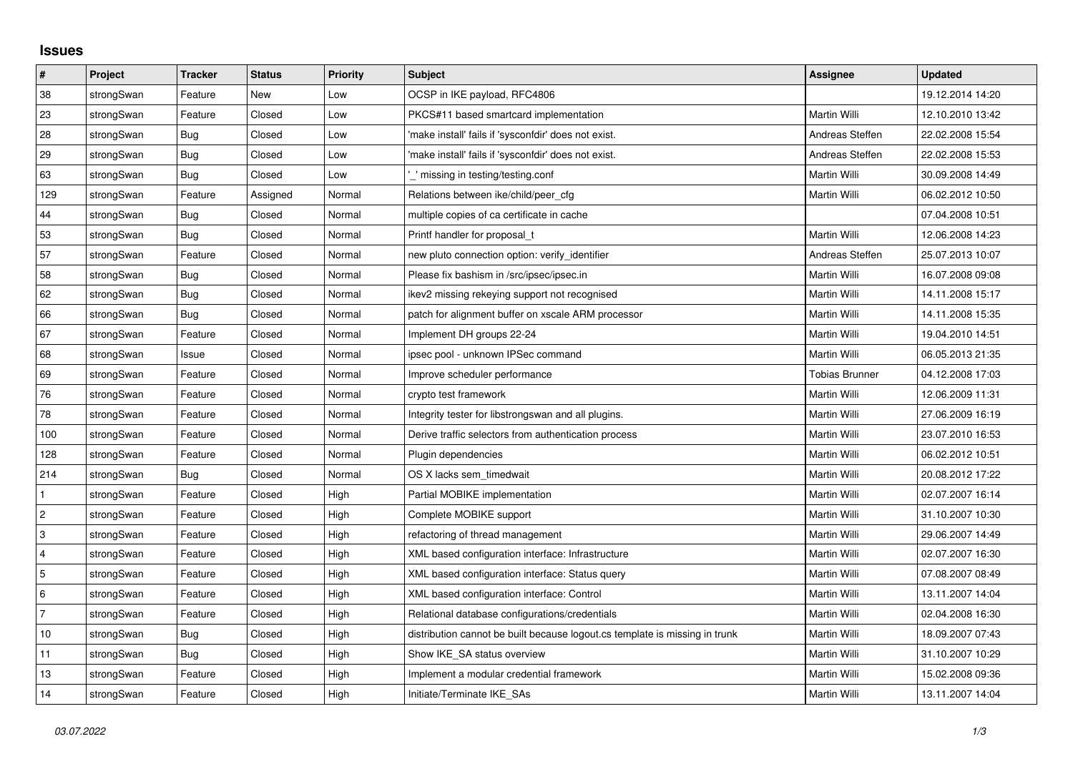## **Issues**

| $\pmb{\#}$     | Project    | <b>Tracker</b> | <b>Status</b> | Priority | <b>Subject</b>                                                              | Assignee              | <b>Updated</b>   |
|----------------|------------|----------------|---------------|----------|-----------------------------------------------------------------------------|-----------------------|------------------|
| 38             | strongSwan | Feature        | New           | Low      | OCSP in IKE payload, RFC4806                                                |                       | 19.12.2014 14:20 |
| 23             | strongSwan | Feature        | Closed        | Low      | PKCS#11 based smartcard implementation                                      | Martin Willi          | 12.10.2010 13:42 |
| 28             | strongSwan | Bug            | Closed        | Low      | 'make install' fails if 'sysconfdir' does not exist.                        | Andreas Steffen       | 22.02.2008 15:54 |
| 29             | strongSwan | Bug            | Closed        | Low      | 'make install' fails if 'sysconfdir' does not exist.                        | Andreas Steffen       | 22.02.2008 15:53 |
| 63             | strongSwan | Bug            | Closed        | Low      | " missing in testing/testing.conf                                           | Martin Willi          | 30.09.2008 14:49 |
| 129            | strongSwan | Feature        | Assigned      | Normal   | Relations between ike/child/peer cfg                                        | <b>Martin Willi</b>   | 06.02.2012 10:50 |
| 44             | strongSwan | Bug            | Closed        | Normal   | multiple copies of ca certificate in cache                                  |                       | 07.04.2008 10:51 |
| 53             | strongSwan | <b>Bug</b>     | Closed        | Normal   | Printf handler for proposal_t                                               | Martin Willi          | 12.06.2008 14:23 |
| 57             | strongSwan | Feature        | Closed        | Normal   | new pluto connection option: verify identifier                              | Andreas Steffen       | 25.07.2013 10:07 |
| 58             | strongSwan | Bug            | Closed        | Normal   | Please fix bashism in /src/ipsec/ipsec.in                                   | Martin Willi          | 16.07.2008 09:08 |
| 62             | strongSwan | <b>Bug</b>     | Closed        | Normal   | ikev2 missing rekeying support not recognised                               | Martin Willi          | 14.11.2008 15:17 |
| 66             | strongSwan | Bug            | Closed        | Normal   | patch for alignment buffer on xscale ARM processor                          | Martin Willi          | 14.11.2008 15:35 |
| 67             | strongSwan | Feature        | Closed        | Normal   | Implement DH groups 22-24                                                   | Martin Willi          | 19.04.2010 14:51 |
| 68             | strongSwan | Issue          | Closed        | Normal   | ipsec pool - unknown IPSec command                                          | Martin Willi          | 06.05.2013 21:35 |
| 69             | strongSwan | Feature        | Closed        | Normal   | Improve scheduler performance                                               | <b>Tobias Brunner</b> | 04.12.2008 17:03 |
| 76             | strongSwan | Feature        | Closed        | Normal   | crypto test framework                                                       | Martin Willi          | 12.06.2009 11:31 |
| 78             | strongSwan | Feature        | Closed        | Normal   | Integrity tester for libstrongswan and all plugins.                         | Martin Willi          | 27.06.2009 16:19 |
| 100            | strongSwan | Feature        | Closed        | Normal   | Derive traffic selectors from authentication process                        | Martin Willi          | 23.07.2010 16:53 |
| 128            | strongSwan | Feature        | Closed        | Normal   | Plugin dependencies                                                         | Martin Willi          | 06.02.2012 10:51 |
| 214            | strongSwan | Bug            | Closed        | Normal   | OS X lacks sem timedwait                                                    | Martin Willi          | 20.08.2012 17:22 |
| $\mathbf{1}$   | strongSwan | Feature        | Closed        | High     | Partial MOBIKE implementation                                               | Martin Willi          | 02.07.2007 16:14 |
| $\overline{c}$ | strongSwan | Feature        | Closed        | High     | Complete MOBIKE support                                                     | Martin Willi          | 31.10.2007 10:30 |
| 3              | strongSwan | Feature        | Closed        | High     | refactoring of thread management                                            | Martin Willi          | 29.06.2007 14:49 |
| $\overline{4}$ | strongSwan | Feature        | Closed        | High     | XML based configuration interface: Infrastructure                           | Martin Willi          | 02.07.2007 16:30 |
| 5              | strongSwan | Feature        | Closed        | High     | XML based configuration interface: Status query                             | Martin Willi          | 07.08.2007 08:49 |
| 6              | strongSwan | Feature        | Closed        | High     | XML based configuration interface: Control                                  | Martin Willi          | 13.11.2007 14:04 |
| $\overline{7}$ | strongSwan | Feature        | Closed        | High     | Relational database configurations/credentials                              | Martin Willi          | 02.04.2008 16:30 |
| 10             | strongSwan | <b>Bug</b>     | Closed        | High     | distribution cannot be built because logout.cs template is missing in trunk | Martin Willi          | 18.09.2007 07:43 |
| 11             | strongSwan | Bug            | Closed        | High     | Show IKE_SA status overview                                                 | Martin Willi          | 31.10.2007 10:29 |
| 13             | strongSwan | Feature        | Closed        | High     | Implement a modular credential framework                                    | Martin Willi          | 15.02.2008 09:36 |
| 14             | strongSwan | Feature        | Closed        | High     | Initiate/Terminate IKE SAs                                                  | Martin Willi          | 13.11.2007 14:04 |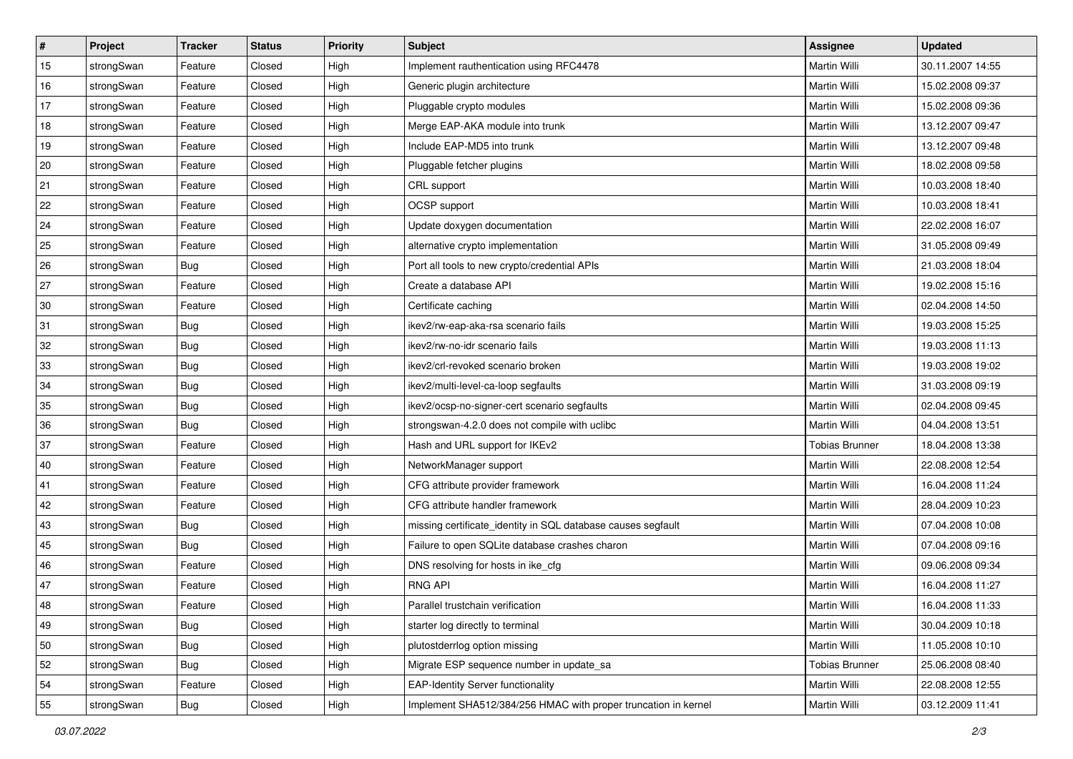| ∦  | Project    | <b>Tracker</b> | <b>Status</b> | <b>Priority</b> | <b>Subject</b>                                                 | Assignee              | <b>Updated</b>   |
|----|------------|----------------|---------------|-----------------|----------------------------------------------------------------|-----------------------|------------------|
| 15 | strongSwan | Feature        | Closed        | High            | Implement rauthentication using RFC4478                        | Martin Willi          | 30.11.2007 14:55 |
| 16 | strongSwan | Feature        | Closed        | High            | Generic plugin architecture                                    | Martin Willi          | 15.02.2008 09:37 |
| 17 | strongSwan | Feature        | Closed        | High            | Pluggable crypto modules                                       | Martin Willi          | 15.02.2008 09:36 |
| 18 | strongSwan | Feature        | Closed        | High            | Merge EAP-AKA module into trunk                                | Martin Willi          | 13.12.2007 09:47 |
| 19 | strongSwan | Feature        | Closed        | High            | Include EAP-MD5 into trunk                                     | <b>Martin Willi</b>   | 13.12.2007 09:48 |
| 20 | strongSwan | Feature        | Closed        | High            | Pluggable fetcher plugins                                      | Martin Willi          | 18.02.2008 09:58 |
| 21 | strongSwan | Feature        | Closed        | High            | CRL support                                                    | Martin Willi          | 10.03.2008 18:40 |
| 22 | strongSwan | Feature        | Closed        | High            | OCSP support                                                   | Martin Willi          | 10.03.2008 18:41 |
| 24 | strongSwan | Feature        | Closed        | High            | Update doxygen documentation                                   | Martin Willi          | 22.02.2008 16:07 |
| 25 | strongSwan | Feature        | Closed        | High            | alternative crypto implementation                              | <b>Martin Willi</b>   | 31.05.2008 09:49 |
| 26 | strongSwan | Bug            | Closed        | High            | Port all tools to new crypto/credential APIs                   | Martin Willi          | 21.03.2008 18:04 |
| 27 | strongSwan | Feature        | Closed        | High            | Create a database API                                          | Martin Willi          | 19.02.2008 15:16 |
| 30 | strongSwan | Feature        | Closed        | High            | Certificate caching                                            | <b>Martin Willi</b>   | 02.04.2008 14:50 |
| 31 | strongSwan | Bug            | Closed        | High            | ikev2/rw-eap-aka-rsa scenario fails                            | Martin Willi          | 19.03.2008 15:25 |
| 32 | strongSwan | Bug            | Closed        | High            | ikev2/rw-no-idr scenario fails                                 | <b>Martin Willi</b>   | 19.03.2008 11:13 |
| 33 | strongSwan | <b>Bug</b>     | Closed        | High            | ikev2/crl-revoked scenario broken                              | Martin Willi          | 19.03.2008 19:02 |
| 34 | strongSwan | Bug            | Closed        | High            | ikev2/multi-level-ca-loop segfaults                            | Martin Willi          | 31.03.2008 09:19 |
| 35 | strongSwan | Bug            | Closed        | High            | ikev2/ocsp-no-signer-cert scenario segfaults                   | Martin Willi          | 02.04.2008 09:45 |
| 36 | strongSwan | Bug            | Closed        | High            | strongswan-4.2.0 does not compile with uclibc                  | Martin Willi          | 04.04.2008 13:51 |
| 37 | strongSwan | Feature        | Closed        | High            | Hash and URL support for IKEv2                                 | <b>Tobias Brunner</b> | 18.04.2008 13:38 |
| 40 | strongSwan | Feature        | Closed        | High            | NetworkManager support                                         | Martin Willi          | 22.08.2008 12:54 |
| 41 | strongSwan | Feature        | Closed        | High            | CFG attribute provider framework                               | Martin Willi          | 16.04.2008 11:24 |
| 42 | strongSwan | Feature        | Closed        | High            | CFG attribute handler framework                                | <b>Martin Willi</b>   | 28.04.2009 10:23 |
| 43 | strongSwan | <b>Bug</b>     | Closed        | High            | missing certificate_identity in SQL database causes segfault   | Martin Willi          | 07.04.2008 10:08 |
| 45 | strongSwan | Bug            | Closed        | High            | Failure to open SQLite database crashes charon                 | Martin Willi          | 07.04.2008 09:16 |
| 46 | strongSwan | Feature        | Closed        | High            | DNS resolving for hosts in ike_cfg                             | <b>Martin Willi</b>   | 09.06.2008 09:34 |
| 47 | strongSwan | Feature        | Closed        | High            | <b>RNG API</b>                                                 | Martin Willi          | 16.04.2008 11:27 |
| 48 | strongSwan | Feature        | Closed        | High            | Parallel trustchain verification                               | Martin Willi          | 16.04.2008 11:33 |
| 49 | strongSwan | Bug            | Closed        | High            | starter log directly to terminal                               | Martin Willi          | 30.04.2009 10:18 |
| 50 | strongSwan | Bug            | Closed        | High            | plutostderrlog option missing                                  | Martin Willi          | 11.05.2008 10:10 |
| 52 | strongSwan | Bug            | Closed        | High            | Migrate ESP sequence number in update_sa                       | <b>Tobias Brunner</b> | 25.06.2008 08:40 |
| 54 | strongSwan | Feature        | Closed        | High            | <b>EAP-Identity Server functionality</b>                       | Martin Willi          | 22.08.2008 12:55 |
| 55 | strongSwan | <b>Bug</b>     | Closed        | High            | Implement SHA512/384/256 HMAC with proper truncation in kernel | Martin Willi          | 03.12.2009 11:41 |